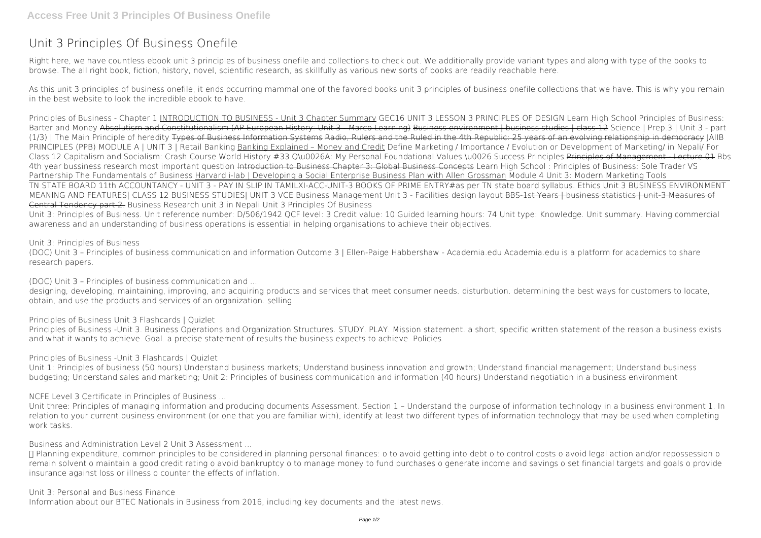## **Unit 3 Principles Of Business Onefile**

Right here, we have countless ebook **unit 3 principles of business onefile** and collections to check out. We additionally provide variant types and along with type of the books to browse. The all right book, fiction, history, novel, scientific research, as skillfully as various new sorts of books are readily reachable here.

As this unit 3 principles of business onefile, it ends occurring mammal one of the favored books unit 3 principles of business onefile collections that we have. This is why you remain in the best website to look the incredible ebook to have.

designing, developing, maintaining, improving, and acquiring products and services that meet consumer needs, disturbution, determining the best ways for customers to locate, obtain, and use the products and services of an organization. selling.

*Principles of Business - Chapter 1* INTRODUCTION TO BUSINESS - Unit 3 Chapter Summary **GEC16 UNIT 3 LESSON 3 PRINCIPLES OF DESIGN** Learn High School Principles of Business: Barter and Money Absolutism and Constitutionalism (AP European History: Unit 3 - Marco Learning) Business environment | business studies | class-12 **Science | Prep.3 | Unit 3 - part (1/3) | The Main Principle of heredity** Types of Business Information Systems Radio, Rulers and the Ruled in the 4th Republic: 25 years of an evolving relationship in democracy *JAIIB* PRINCIPLES (PPB) MODULE A | UNIT 3 | Retail Banking Banking Explained – Money and Credit Define Marketing / Importance / Evolution or Development of Marketing/ in Nepali/ For *Class 12 Capitalism and Socialism: Crash Course World History #33 Q\u0026A: My Personal Foundational Values \u0026 Success Principles* Principles of Management - Lecture 01 *Bbs* 4th year bussiness research most important question <del>Introduction to Business Chapter 3: Global Business Concepts</del> Learn High School : Principles of Business: Sole Trader VS Partnership The Fundamentals of Business Harvard i-lab | Developing a Social Enterprise Business Plan with Allen Grossman Module 4 Unit 3: Modern Marketing Tools TN STATE BOARD 11th ACCOUNTANCY - UNIT 3 - PAY IN SLIP IN TAMIL*XI-ACC-UNIT-3 BOOKS OF PRIME ENTRY#as per TN state board syllabus. Ethics Unit 3* **BUSINESS ENVIRONMENT MEANING AND FEATURES| CLASS 12 BUSINESS STUDIES| UNIT 3 VCE Business Management Unit 3 - Facilities design layout** BBS-1st Years | business statistics | unit-3 Measures of Central Tendency part-2. *Business Research unit 3 in Nepali Unit 3 Principles Of Business* Unit 3: Principles of Business. Unit reference number: D/506/1942 QCF level: 3 Credit value: 10 Guided learning hours: 74 Unit type: Knowledge. Unit summary. Having commercial

awareness and an understanding of business operations is essential in helping organisations to achieve their objectives.

## *Unit 3: Principles of Business*

(DOC) Unit 3 – Principles of business communication and information Outcome 3 | Ellen-Paige Habbershaw - Academia.edu Academia.edu is a platform for academics to share research papers.

*(DOC) Unit 3 – Principles of business communication and ...*

*Principles of Business Unit 3 Flashcards | Quizlet*

Principles of Business -Unit 3. Business Operations and Organization Structures. STUDY. PLAY. Mission statement. a short, specific written statement of the reason a business exists and what it wants to achieve. Goal. a precise statement of results the business expects to achieve. Policies.

*Principles of Business -Unit 3 Flashcards | Quizlet*

Unit 1: Principles of business (50 hours) Understand business markets; Understand business innovation and growth; Understand financial management; Understand business budgeting; Understand sales and marketing; Unit 2: Principles of business communication and information (40 hours) Understand negotiation in a business environment

*NCFE Level 3 Certificate in Principles of Business ...*

Unit three: Principles of managing information and producing documents Assessment. Section 1 – Understand the purpose of information technology in a business environment 1. In relation to your current business environment (or one that you are familiar with), identify at least two different types of information technology that may be used when completing work tasks.

*Business and Administration Level 2 Unit 3 Assessment ...*

• Planning expenditure, common principles to be considered in planning personal finances: o to avoid getting into debt o to control costs o avoid legal action and/or repossession o remain solvent o maintain a good credit rating o avoid bankruptcy o to manage money to fund purchases o generate income and savings o set financial targets and goals o provide insurance against loss or illness o counter the effects of inflation.

*Unit 3: Personal and Business Finance*

Information about our BTEC Nationals in Business from 2016, including key documents and the latest news.